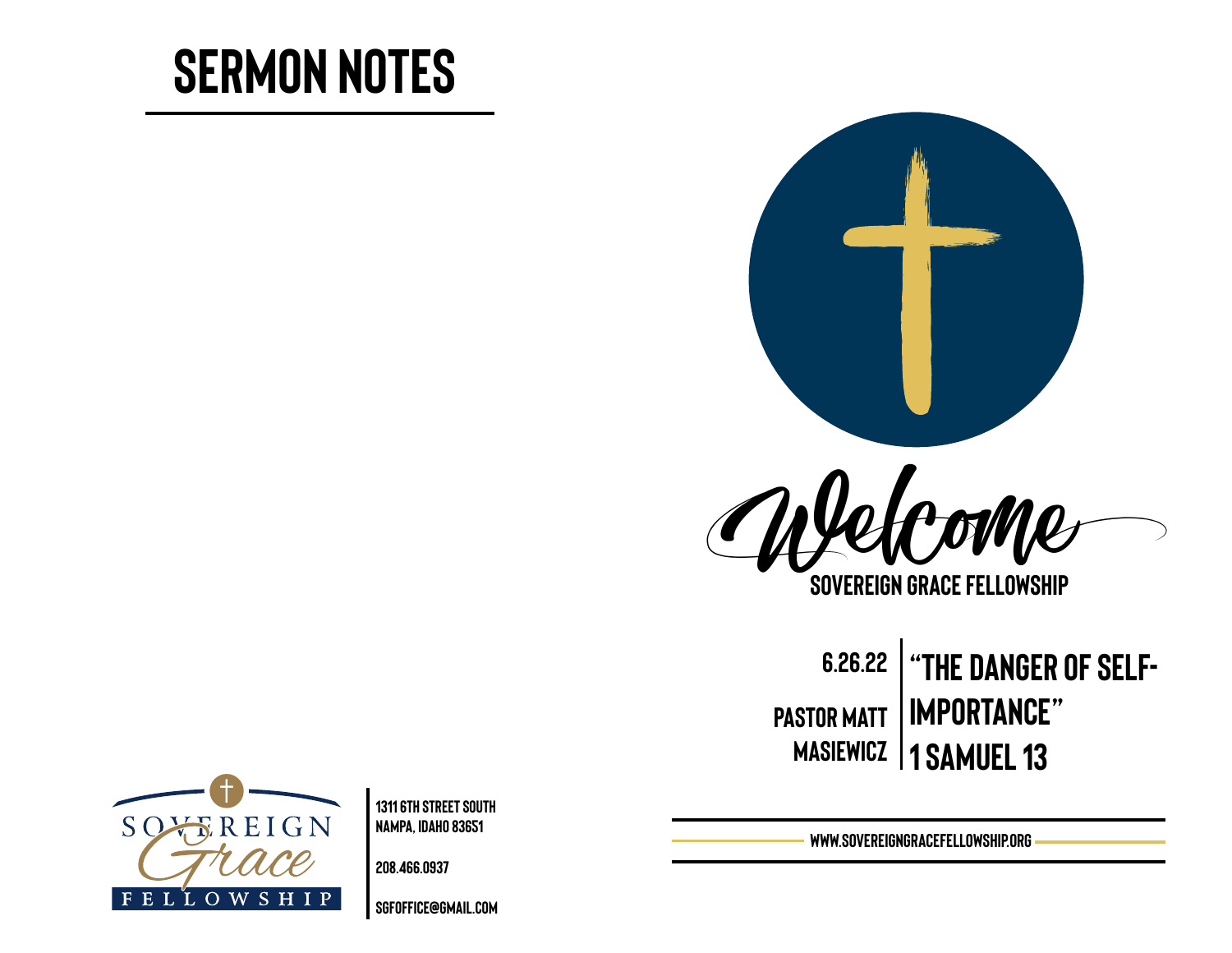# **Sermon Notes**



**Sovereign Grace Fellowship**

**6.26.22 Pastor Matt masiewicz 1 Samuel 13 "The danger of selfimportance"** 



**1311 6th Street south Nampa, Idaho 83651** 

**208.466.0937** 

**[sgfoffice@gmail.com](mailto:sgfoffice@gmail.com)**

**www.SovereignGraceFellowship.org**